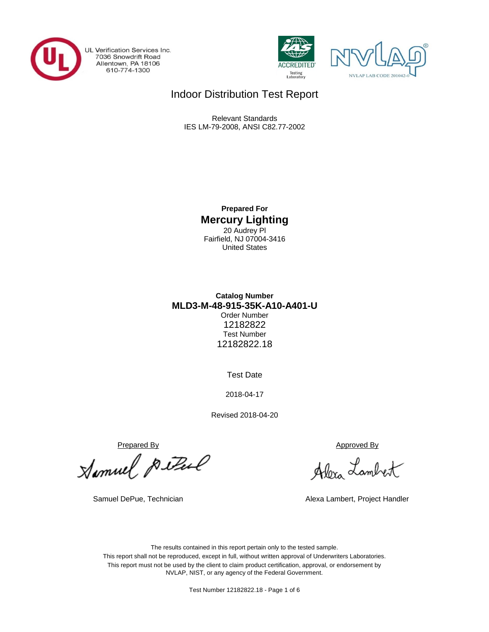

UL Verification Services Inc. 7036 Snowdrift Road<br>Allentown, PA 18106<br>610-774-1300





# Indoor Distribution Test Report

Relevant Standards IES LM-79-2008, ANSI C82.77-2002

> **Prepared For Mercury Lighting** 20 Audrey Pl Fairfield, NJ 07004-3416 United States

## **MLD3-M-48-915-35K-A10-A401-U Catalog Number** Order Number 12182822 Test Number 12182822.18

Test Date

2018-04-17

Revised 2018-04-20

Prepared By<br>Mamuel Pulled don Lamb

Allora Lambert

Samuel DePue, Technician Alexa Lambert, Project Handler

The results contained in this report pertain only to the tested sample. This report shall not be reproduced, except in full, without written approval of Underwriters Laboratories. This report must not be used by the client to claim product certification, approval, or endorsement by NVLAP, NIST, or any agency of the Federal Government.

Test Number 12182822.18 - Page 1 of 6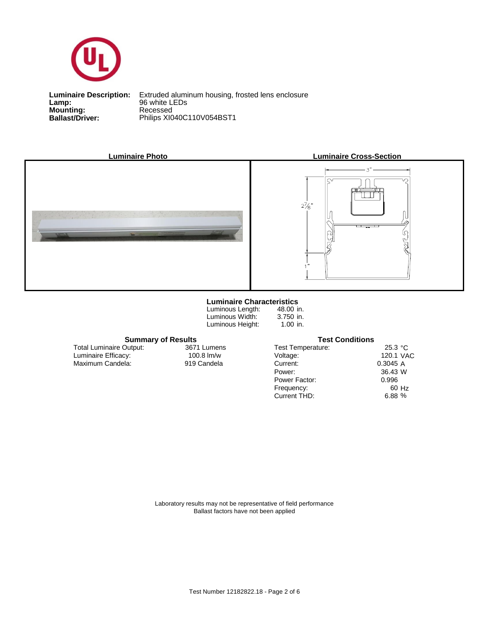

**Lamp:**<br>Mounting:<br>Ballast/Driver: **Lamp:** 96 white LEDs

**Ballast/Driver:** Philips XI040C110V054BST1 **Luminaire Description:** Extruded aluminum housing, frosted lens enclosure







#### **Luminaire Characteristics**

Luminous Length: Luminous Width: Luminous Height:

48.00 in. 3.750 in. 1.00 in.

#### **Summary of Results Test Conditions**

 Maximum Candela: 919 Candela Luminaire Efficacy: Total Luminaire Output:

3671 Lumens

| <b>Test Temperature:</b> | 25.3 °C   |       |
|--------------------------|-----------|-------|
| Voltage:                 | 120.1 VAC |       |
| Current:                 | 0.3045A   |       |
| Power:                   | 36.43 W   |       |
| Power Factor:            | 0.996     |       |
| Frequency:               |           | 60 Hz |
| Current THD:             | 6.88 %    |       |
|                          |           |       |

Laboratory results may not be representative of field performance Ballast factors have not been applied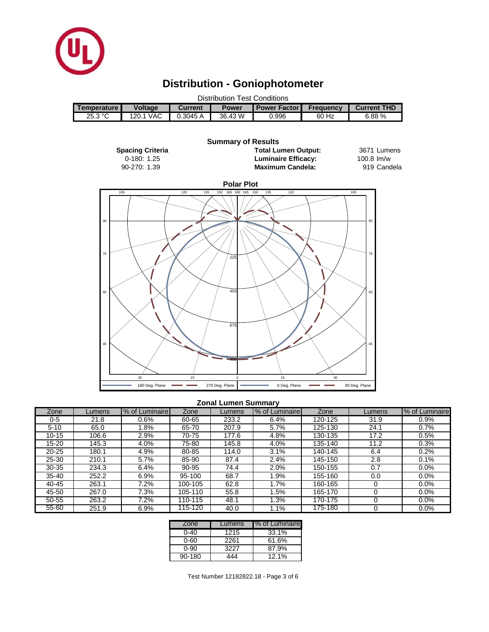

# **Distribution - Goniophotometer**

| <b>Distribution Test Conditions</b> |                |                                                                                                 |         |       |       |       |  |  |  |  |
|-------------------------------------|----------------|-------------------------------------------------------------------------------------------------|---------|-------|-------|-------|--|--|--|--|
| <b>Temperature</b>                  | <b>Voltage</b> | <b>Current THD</b><br><b>Power Factor</b><br><b>Frequency</b><br><b>Power</b><br><b>Current</b> |         |       |       |       |  |  |  |  |
| 25.3 °C                             | 120.1 VAC      | 0.3045A                                                                                         | 36.43 W | 0.996 | 60 Hz | 6.88% |  |  |  |  |
|                                     |                |                                                                                                 |         |       |       |       |  |  |  |  |
|                                     |                |                                                                                                 |         |       |       |       |  |  |  |  |
| <b>Summary of Results</b>           |                |                                                                                                 |         |       |       |       |  |  |  |  |



#### **Zonal Lumen Summary**

| Zone      | Lumens | % of Luminaire | Zone    | Lumens | % of Luminaire | Zone    | Lumens | % of Luminaire |
|-----------|--------|----------------|---------|--------|----------------|---------|--------|----------------|
| $0 - 5$   | 21.8   | 0.6%           | 60-65   | 233.2  | 6.4%           | 120-125 | 31.9   | 0.9%           |
| $5 - 10$  | 65.0   | $.8\%$         | 65-70   | 207.9  | 5.7%           | 125-130 | 24.1   | 0.7%           |
| $10 - 15$ | 106.6  | 2.9%           | 70-75   | 177.6  | 4.8%           | 130-135 | 17.2   | 0.5%           |
| 15-20     | 145.3  | 4.0%           | 75-80   | 145.8  | 4.0%           | 135-140 | 11.2   | 0.3%           |
| $20 - 25$ | 180.1  | 4.9%           | 80-85   | 114.0  | 3.1%           | 140-145 | 6.4    | 0.2%           |
| 25-30     | 210.1  | 5.7%           | 85-90   | 87.4   | 2.4%           | 145-150 | 2.8    | 0.1%           |
| $30 - 35$ | 234.3  | 6.4%           | 90-95   | 74.4   | 2.0%           | 150-155 | 0.7    | 0.0%           |
| $35 - 40$ | 252.2  | 6.9%           | 95-100  | 68.7   | 1.9%           | 155-160 | 0.0    | $0.0\%$        |
| 40-45     | 263.1  | 7.2%           | 100-105 | 62.8   | 1.7%           | 160-165 |        | $0.0\%$        |
| 45-50     | 267.0  | 7.3%           | 105-110 | 55.8   | 1.5%           | 165-170 |        | $0.0\%$        |
| 50-55     | 263.2  | 7.2%           | 110-115 | 48.1   | 1.3%           | 170-175 |        | $0.0\%$        |
| 55-60     | 251.9  | 6.9%           | 115-120 | 40.0   | 1.1%           | 175-180 |        | 0.0%           |

| Zone   | Lumens | % of Luminaire |
|--------|--------|----------------|
| 0-40   | 1215   | 33.1%          |
| 0-60   | 2261   | 61.6%          |
| 0-90   | 3227   | 87.9%          |
| 90-180 | 444    | 12.1%          |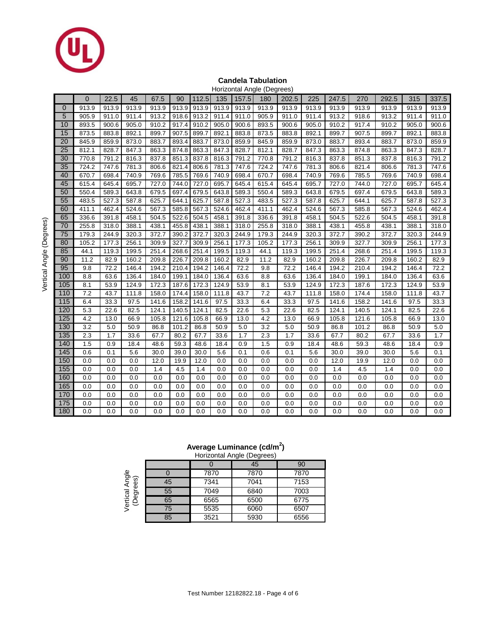

#### **Candela Tabulation**

|                 | Horizontal Angle (Degrees) |       |       |                    |       |       |       |       |         |       |       |       |       |       |       |       |
|-----------------|----------------------------|-------|-------|--------------------|-------|-------|-------|-------|---------|-------|-------|-------|-------|-------|-------|-------|
|                 | $\overline{0}$             | 22.5  | 45    | 67.5               | 90    | 112.5 | 135   | 157.5 | 180     | 202.5 | 225   | 247.5 | 270   | 292.5 | 315   | 337.5 |
| $\Omega$        | 913.9                      | 913.9 | 913.9 | 913.9              | 913.9 | 913.9 | 913.9 | 913.9 | 913.9   | 913.9 | 913.9 | 913.9 | 913.9 | 913.9 | 913.9 | 913.9 |
| 5               | 905.9                      | 911.0 | 911.4 | 913.2              | 918.6 | 913.2 | 911.4 | 911.0 | 905.9   | 911.0 | 911.4 | 913.2 | 918.6 | 913.2 | 911.4 | 911.0 |
| 10              | 893.5                      | 900.6 | 905.0 | 910.2              | 917.4 | 910.2 | 905.0 | 900.6 | 893.5   | 900.6 | 905.0 | 910.2 | 917.4 | 910.2 | 905.0 | 900.6 |
| 15              | 873.5                      | 883.8 | 892.1 | 899.7              | 907.5 | 899.7 | 892.1 | 883.8 | 873.5   | 883.8 | 892.1 | 899.7 | 907.5 | 899.7 | 892.1 | 883.8 |
| 20              | 845.9                      | 859.9 | 873.0 | 883.7              | 893.4 | 883.7 | 873.0 | 859.9 | 845.9   | 859.9 | 873.0 | 883.7 | 893.4 | 883.7 | 873.0 | 859.9 |
| 25              | 812.1                      | 828.7 | 847.3 | 863.3              | 874.8 | 863.3 | 847.3 | 828.7 | 812.1   | 828.7 | 847.3 | 863.3 | 874.8 | 863.3 | 847.3 | 828.7 |
| 30              | 770.8                      | 791.2 | 816.3 | 837.8              | 851.3 | 837.8 | 816.3 | 791.2 | 770.8   | 791.2 | 816.3 | 837.8 | 851.3 | 837.8 | 816.3 | 791.2 |
| 35              | 724.2                      | 747.6 | 781.3 | 806.6              | 821.4 | 806.6 | 781.3 | 747.6 | 724.2   | 747.6 | 781.3 | 806.6 | 821.4 | 806.6 | 781.3 | 747.6 |
| 40              | 670.7                      | 698.4 | 740.9 | 769.6              | 785.5 | 769.6 | 740.9 | 698.4 | 670.7   | 698.4 | 740.9 | 769.6 | 785.5 | 769.6 | 740.9 | 698.4 |
| 45              | 615.4                      | 645.4 | 695.7 | 727.0              | 744.0 | 727.0 | 695.7 | 645.4 | 615.4   | 645.4 | 695.7 | 727.0 | 744.0 | 727.0 | 695.7 | 645.4 |
| 50              | 550.4                      | 589.3 | 643.8 | 679.5              | 697.4 | 679.5 | 643.8 | 589.3 | 550.4   | 589.3 | 643.8 | 679.5 | 697.4 | 679.5 | 643.8 | 589.3 |
| 55              | 483.5                      | 527.3 | 587.8 | 625.7              | 644.1 | 625.7 | 587.8 | 527.3 | 483.5   | 527.3 | 587.8 | 625.7 | 644.1 | 625.7 | 587.8 | 527.3 |
| 60              | 411.1                      | 462.4 | 524.6 | 567.3              | 585.8 | 567.3 | 524.6 | 462.4 | 411.1   | 462.4 | 524.6 | 567.3 | 585.8 | 567.3 | 524.6 | 462.4 |
| 65              | 336.6                      | 391.8 | 458.1 | 504.5              | 522.6 | 504.5 | 458.1 | 391.8 | 336.6   | 391.8 | 458.1 | 504.5 | 522.6 | 504.5 | 458.1 | 391.8 |
| 70              | 255.8                      | 318.0 | 388.1 | 438.1              | 455.8 | 438.1 | 388.1 | 318.0 | 255.8   | 318.0 | 388.1 | 438.1 | 455.8 | 438.1 | 388.1 | 318.0 |
| $\overline{75}$ | 179.3                      | 244.9 | 320.3 | 372.7              | 390.2 | 372.7 | 320.3 | 244.9 | 179.3   | 244.9 | 320.3 | 372.7 | 390.2 | 372.7 | 320.3 | 244.9 |
| 80              | 105.2                      | 177.3 | 256.1 | 309.9              | 327.7 | 309.9 | 256.1 | 177.3 | 105.2   | 177.3 | 256.1 | 309.9 | 327.7 | 309.9 | 256.1 | 177.3 |
| 85              | 44.1                       | 119.3 | 199.5 | 251.4              | 268.6 | 251.4 | 199.5 | 119.3 | 44.1    | 119.3 | 199.5 | 251.4 | 268.6 | 251.4 | 199.5 | 119.3 |
| 90              | 11.2                       | 82.9  | 160.2 | 209.8              | 226.7 | 209.8 | 160.2 | 82.9  | 11.2    | 82.9  | 160.2 | 209.8 | 226.7 | 209.8 | 160.2 | 82.9  |
| 95              | 9.8                        | 72.2  | 146.4 | 194.2              | 210.4 | 194.2 | 146.4 | 72.2  | 9.8     | 72.2  | 146.4 | 194.2 | 210.4 | 194.2 | 146.4 | 72.2  |
| 100             | 8.8                        | 63.6  | 136.4 | 184.0              | 199.1 | 184.0 | 136.4 | 63.6  | 8.8     | 63.6  | 136.4 | 184.0 | 199.1 | 184.0 | 136.4 | 63.6  |
| 105             | 8.1                        | 53.9  | 124.9 | 172.3              | 187.6 | 172.3 | 124.9 | 53.9  | 8.1     | 53.9  | 124.9 | 172.3 | 187.6 | 172.3 | 124.9 | 53.9  |
| 110             | 7.2                        | 43.7  | 111.8 | 158.0              | 174.4 | 158.0 | 111.8 | 43.7  | 7.2     | 43.7  | 111.8 | 158.0 | 174.4 | 158.0 | 111.8 | 43.7  |
| 115             | 6.4                        | 33.3  | 97.5  | $\overline{1}41.6$ | 158.2 | 141.6 | 97.5  | 33.3  | 6.4     | 33.3  | 97.5  | 141.6 | 158.2 | 141.6 | 97.5  | 33.3  |
| 120             | 5.3                        | 22.6  | 82.5  | 124.1              | 140.5 | 124.1 | 82.5  | 22.6  | 5.3     | 22.6  | 82.5  | 124.1 | 140.5 | 124.1 | 82.5  | 22.6  |
| 125             | 4.2                        | 13.0  | 66.9  | 105.8              | 121.6 | 105.8 | 66.9  | 13.0  | 4.2     | 13.0  | 66.9  | 105.8 | 121.6 | 105.8 | 66.9  | 13.0  |
| 130             | 3.2                        | 5.0   | 50.9  | 86.8               | 101.2 | 86.8  | 50.9  | 5.0   | 3.2     | 5.0   | 50.9  | 86.8  | 101.2 | 86.8  | 50.9  | 5.0   |
| 135             | 2.3                        | 1.7   | 33.6  | 67.7               | 80.2  | 67.7  | 33.6  | 1.7   | 2.3     | 1.7   | 33.6  | 67.7  | 80.2  | 67.7  | 33.6  | 1.7   |
| 140             | 1.5                        | 0.9   | 18.4  | 48.6               | 59.3  | 48.6  | 18.4  | 0.9   | 1.5     | 0.9   | 18.4  | 48.6  | 59.3  | 48.6  | 18.4  | 0.9   |
| 145             | 0.6                        | 0.1   | 5.6   | 30.0               | 39.0  | 30.0  | 5.6   | 0.1   | 0.6     | 0.1   | 5.6   | 30.0  | 39.0  | 30.0  | 5.6   | 0.1   |
| 150             | 0.0                        | 0.0   | 0.0   | 12.0               | 19.9  | 12.0  | 0.0   | 0.0   | 0.0     | 0.0   | 0.0   | 12.0  | 19.9  | 12.0  | 0.0   | 0.0   |
| 155             | 0.0                        | 0.0   | 0.0   | 1.4                | 4.5   | 1.4   | 0.0   | 0.0   | 0.0     | 0.0   | 0.0   | 1.4   | 4.5   | 1.4   | 0.0   | 0.0   |
| 160             | 0.0                        | 0.0   | 0.0   | 0.0                | 0.0   | 0.0   | 0.0   | 0.0   | 0.0     | 0.0   | 0.0   | 0.0   | 0.0   | 0.0   | 0.0   | 0.0   |
| 165             | 0.0                        | 0.0   | 0.0   | 0.0                | 0.0   | 0.0   | 0.0   | 0.0   | 0.0     | 0.0   | 0.0   | 0.0   | 0.0   | 0.0   | 0.0   | 0.0   |
| 170             | 0.0                        | 0.0   | 0.0   | 0.0                | 0.0   | 0.0   | 0.0   | 0.0   | 0.0     | 0.0   | 0.0   | 0.0   | 0.0   | 0.0   | 0.0   | 0.0   |
| 175             | 0.0                        | 0.0   | 0.0   | 0.0                | 0.0   | 0.0   | 0.0   | 0.0   | 0.0     | 0.0   | 0.0   | 0.0   | 0.0   | 0.0   | 0.0   | 0.0   |
| 180             | 0.0                        | 0.0   | 0.0   | 0.0                | 0.0   | 0.0   | 0.0   | 0.0   | $0.0\,$ | 0.0   | 0.0   | 0.0   | 0.0   | 0.0   | 0.0   | 0.0   |

### **Average Luminance (cd/m<sup>2</sup> )**

|                                |    |      | Horizontal Angle (Degrees) |      |
|--------------------------------|----|------|----------------------------|------|
|                                |    |      | 45                         | 90   |
|                                |    | 7870 | 7870                       | 7870 |
| Angle<br>ees)                  | 45 | 7341 | 7041                       | 7153 |
| Vertical A<br>Degre<br>еğ<br>Ф | 55 | 7049 | 6840                       | 7003 |
|                                | 65 | 6565 | 6500                       | 6775 |
|                                | 75 | 5535 | 6060                       | 6507 |
|                                | 85 | 3521 | 5930                       | 6556 |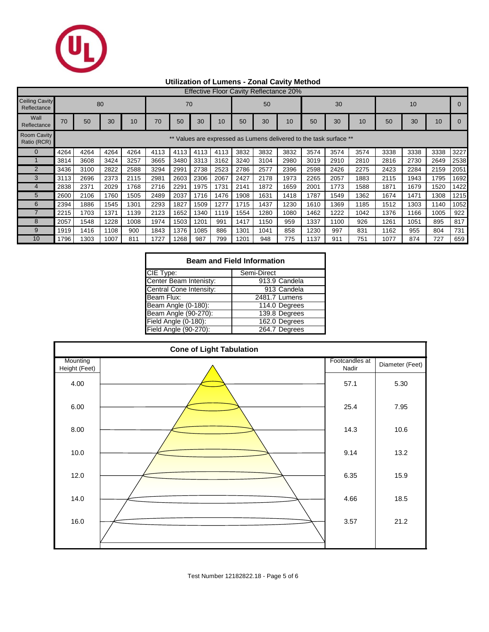

## **Utilization of Lumens - Zonal Cavity Method**

| <b>Effective Floor Cavity Reflectance 20%</b> |      |      |      |      |      |      |      |      |      |      |                                                                 |      |      |      |      |      |      |      |
|-----------------------------------------------|------|------|------|------|------|------|------|------|------|------|-----------------------------------------------------------------|------|------|------|------|------|------|------|
| <b>Ceiling Cavity</b><br>Reflectance          | 80   |      |      |      |      | 70   |      |      |      | 50   |                                                                 |      | 30   |      |      | 10   |      |      |
| Wall<br>Reflectance                           | 70   | 50   | 30   | 10   | 70   | 50   | 30   | 10   | 50   | 30   | 10                                                              | 50   | 30   | 10   | 50   | 30   | 10   |      |
| <b>Room Cavity</b><br>Ratio (RCR)             |      |      |      |      |      |      |      |      |      |      | Values are expressed as Lumens delivered to the task surface ** |      |      |      |      |      |      |      |
|                                               | 4264 | 4264 | 4264 | 4264 | 4113 | 4113 | 4113 | 4113 | 3832 | 3832 | 3832                                                            | 3574 | 3574 | 3574 | 3338 | 3338 | 3338 | 3227 |
|                                               | 3814 | 3608 | 3424 | 3257 | 3665 | 3480 | 3313 | 3162 | 3240 | 3104 | 2980                                                            | 3019 | 2910 | 2810 | 2816 | 2730 | 2649 | 2538 |
| $\overline{2}$                                | 3436 | 3100 | 2822 | 2588 | 3294 | 2991 | 2738 | 2523 | 2786 | 2577 | 2396                                                            | 2598 | 2426 | 2275 | 2423 | 2284 | 2159 | 2051 |
| 3                                             | 3113 | 2696 | 2373 | 2115 | 2981 | 2603 | 2306 | 2067 | 2427 | 2178 | 1973                                                            | 2265 | 2057 | 1883 | 2115 | 1943 | 1795 | 1692 |
|                                               | 2838 | 2371 | 2029 | 1768 | 2716 | 2291 | 1975 | 1731 | 2141 | 1872 | 1659                                                            | 2001 | 1773 | 1588 | 1871 | 1679 | 1520 | 1422 |
| 5                                             | 2600 | 2106 | 1760 | 1505 | 2489 | 2037 | 1716 | 1476 | 1908 | 1631 | 1418                                                            | 1787 | 1549 | 1362 | 1674 | 1471 | 1308 | 1215 |
| 6                                             | 2394 | 1886 | 1545 | 1301 | 2293 | 1827 | 1509 | 1277 | 1715 | 1437 | 1230                                                            | 1610 | 1369 | 1185 | 1512 | 1303 | 1140 | 1052 |
|                                               | 2215 | 1703 | 1371 | 1139 | 2123 | 1652 | 1340 | 1119 | 1554 | 1280 | 1080                                                            | 1462 | 1222 | 1042 | 1376 | 1166 | 1005 | 922  |
| 8                                             | 2057 | 1548 | 1228 | 1008 | 1974 | 1503 | 1201 | 991  | 1417 | 1150 | 959                                                             | 1337 | 1100 | 926  | 1261 | 1051 | 895  | 817  |
| 9                                             | 1919 | 1416 | 1108 | 900  | 1843 | 1376 | 1085 | 886  | 1301 | 1041 | 858                                                             | 1230 | 997  | 831  | 1162 | 955  | 804  | 731  |
| 10                                            | 1796 | 1303 | 1007 | 811  | 1727 | 1268 | 987  | 799  | 1201 | 948  | 775                                                             | 1137 | 911  | 751  | 1077 | 874  | 727  | 659  |

| <b>Beam and Field Information</b> |               |  |  |  |  |  |  |  |
|-----------------------------------|---------------|--|--|--|--|--|--|--|
| CIE Type:                         | Semi-Direct   |  |  |  |  |  |  |  |
| Center Beam Intenisty:            | 913.9 Candela |  |  |  |  |  |  |  |
| Central Cone Intensity:           | 913 Candela   |  |  |  |  |  |  |  |
| Beam Flux:                        | 2481.7 Lumens |  |  |  |  |  |  |  |
| Beam Angle (0-180):               | 114.0 Degrees |  |  |  |  |  |  |  |
| Beam Angle (90-270):              | 139.8 Degrees |  |  |  |  |  |  |  |
| Field Angle (0-180):              | 162.0 Degrees |  |  |  |  |  |  |  |
| Field Angle (90-270):             | 264.7 Degrees |  |  |  |  |  |  |  |